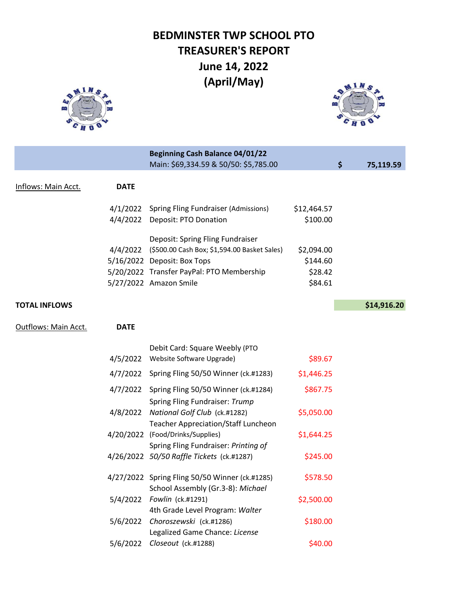## **BEDMINSTER TWP SCHOOL PTO TREASURER'S REPORT June 14, 2022 (April/May)**





|                      |             | <b>Beginning Cash Balance 04/01/22</b>                |             |                 |
|----------------------|-------------|-------------------------------------------------------|-------------|-----------------|
|                      |             | Main: \$69,334.59 & 50/50: \$5,785.00                 |             | \$<br>75,119.59 |
| Inflows: Main Acct.  | <b>DATE</b> |                                                       |             |                 |
|                      |             | 4/1/2022 Spring Fling Fundraiser (Admissions)         | \$12,464.57 |                 |
|                      |             | 4/4/2022 Deposit: PTO Donation                        | \$100.00    |                 |
|                      |             | Deposit: Spring Fling Fundraiser                      |             |                 |
|                      |             | 4/4/2022 (\$500.00 Cash Box; \$1,594.00 Basket Sales) | \$2,094.00  |                 |
|                      |             | 5/16/2022 Deposit: Box Tops                           | \$144.60    |                 |
|                      |             | 5/20/2022 Transfer PayPal: PTO Membership             | \$28.42     |                 |
|                      |             | 5/27/2022 Amazon Smile                                | \$84.61     |                 |
| <b>TOTAL INFLOWS</b> |             |                                                       |             | \$14,916.20     |
| Outflows: Main Acct. | <b>DATE</b> |                                                       |             |                 |
|                      |             | Debit Card: Square Weebly (PTO                        |             |                 |

| Website Software Upgrade)                        | \$89.67    |
|--------------------------------------------------|------------|
| Spring Fling 50/50 Winner (ck.#1283)<br>4/7/2022 | \$1,446.25 |
| 4/7/2022 Spring Fling 50/50 Winner (ck.#1284)    | \$867.75   |
| Spring Fling Fundraiser: Trump                   |            |
| 4/8/2022 National Golf Club (ck.#1282)           | \$5,050.00 |
| <b>Teacher Appreciation/Staff Luncheon</b>       |            |
| 4/20/2022 (Food/Drinks/Supplies)                 | \$1,644.25 |
| Spring Fling Fundraiser: Printing of             |            |
| 4/26/2022 50/50 Raffle Tickets (ck.#1287)        | \$245.00   |
| 4/27/2022 Spring Fling 50/50 Winner (ck.#1285)   | \$578.50   |
| School Assembly (Gr.3-8): Michael                |            |
| 5/4/2022 Fowlin (ck.#1291)                       | \$2,500.00 |
| 4th Grade Level Program: Walter                  |            |
| 5/6/2022 Choroszewski (ck.#1286)                 | \$180.00   |
| Legalized Game Chance: License                   |            |
| Closeout (ck.#1288)                              | \$40.00    |
|                                                  |            |